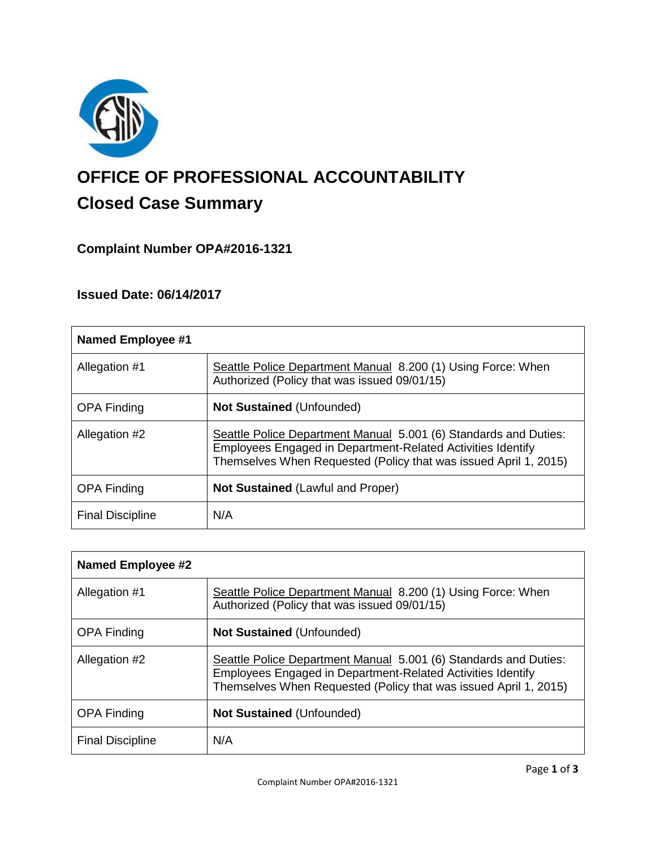

# **OFFICE OF PROFESSIONAL ACCOUNTABILITY Closed Case Summary**

# **Complaint Number OPA#2016-1321**

# **Issued Date: 06/14/2017**

| <b>Named Employee #1</b> |                                                                                                                                                                                                     |
|--------------------------|-----------------------------------------------------------------------------------------------------------------------------------------------------------------------------------------------------|
| Allegation #1            | Seattle Police Department Manual 8.200 (1) Using Force: When<br>Authorized (Policy that was issued 09/01/15)                                                                                        |
| <b>OPA Finding</b>       | <b>Not Sustained (Unfounded)</b>                                                                                                                                                                    |
| Allegation #2            | Seattle Police Department Manual 5.001 (6) Standards and Duties:<br>Employees Engaged in Department-Related Activities Identify<br>Themselves When Requested (Policy that was issued April 1, 2015) |
| <b>OPA Finding</b>       | <b>Not Sustained (Lawful and Proper)</b>                                                                                                                                                            |
| <b>Final Discipline</b>  | N/A                                                                                                                                                                                                 |

| <b>Named Employee #2</b> |                                                                                                                                                                                                     |
|--------------------------|-----------------------------------------------------------------------------------------------------------------------------------------------------------------------------------------------------|
| Allegation #1            | Seattle Police Department Manual 8.200 (1) Using Force: When<br>Authorized (Policy that was issued 09/01/15)                                                                                        |
| <b>OPA Finding</b>       | <b>Not Sustained (Unfounded)</b>                                                                                                                                                                    |
| Allegation #2            | Seattle Police Department Manual 5.001 (6) Standards and Duties:<br>Employees Engaged in Department-Related Activities Identify<br>Themselves When Requested (Policy that was issued April 1, 2015) |
| <b>OPA Finding</b>       | <b>Not Sustained (Unfounded)</b>                                                                                                                                                                    |
| <b>Final Discipline</b>  | N/A                                                                                                                                                                                                 |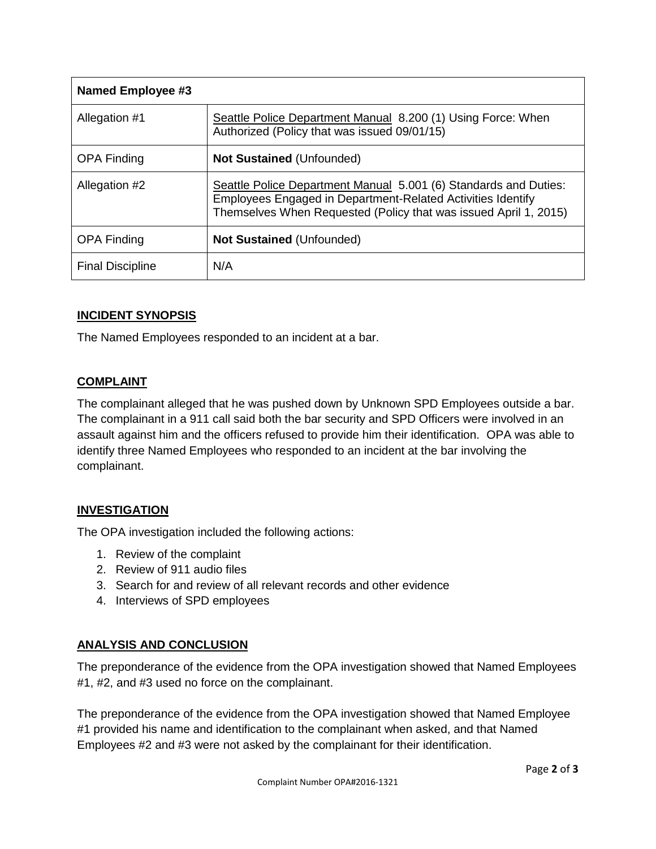| Named Employee #3       |                                                                                                                                                                                                     |
|-------------------------|-----------------------------------------------------------------------------------------------------------------------------------------------------------------------------------------------------|
| Allegation #1           | Seattle Police Department Manual 8.200 (1) Using Force: When<br>Authorized (Policy that was issued 09/01/15)                                                                                        |
| <b>OPA Finding</b>      | <b>Not Sustained (Unfounded)</b>                                                                                                                                                                    |
| Allegation #2           | Seattle Police Department Manual 5.001 (6) Standards and Duties:<br>Employees Engaged in Department-Related Activities Identify<br>Themselves When Requested (Policy that was issued April 1, 2015) |
| <b>OPA Finding</b>      | <b>Not Sustained (Unfounded)</b>                                                                                                                                                                    |
| <b>Final Discipline</b> | N/A                                                                                                                                                                                                 |

# **INCIDENT SYNOPSIS**

The Named Employees responded to an incident at a bar.

## **COMPLAINT**

The complainant alleged that he was pushed down by Unknown SPD Employees outside a bar. The complainant in a 911 call said both the bar security and SPD Officers were involved in an assault against him and the officers refused to provide him their identification. OPA was able to identify three Named Employees who responded to an incident at the bar involving the complainant.

# **INVESTIGATION**

The OPA investigation included the following actions:

- 1. Review of the complaint
- 2. Review of 911 audio files
- 3. Search for and review of all relevant records and other evidence
- 4. Interviews of SPD employees

# **ANALYSIS AND CONCLUSION**

The preponderance of the evidence from the OPA investigation showed that Named Employees #1, #2, and #3 used no force on the complainant.

The preponderance of the evidence from the OPA investigation showed that Named Employee #1 provided his name and identification to the complainant when asked, and that Named Employees #2 and #3 were not asked by the complainant for their identification.